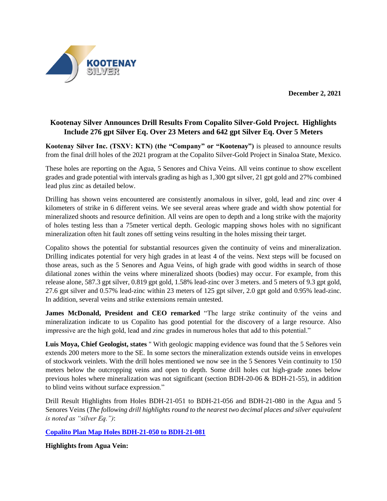**December 2, 2021**



# **Kootenay Silver Announces Drill Results From Copalito Silver-Gold Project. Highlights Include 276 gpt Silver Eq. Over 23 Meters and 642 gpt Silver Eq. Over 5 Meters**

**Kootenay Silver Inc. (TSXV: KTN) (the "Company" or "Kootenay")** is pleased to announce results from the final drill holes of the 2021 program at the Copalito Silver-Gold Project in Sinaloa State, Mexico.

These holes are reporting on the Agua, 5 Senores and Chiva Veins. All veins continue to show excellent grades and grade potential with intervals grading as high as 1,300 gpt silver, 21 gpt gold and 27% combined lead plus zinc as detailed below.

Drilling has shown veins encountered are consistently anomalous in silver, gold, lead and zinc over 4 kilometers of strike in 6 different veins. We see several areas where grade and width show potential for mineralized shoots and resource definition. All veins are open to depth and a long strike with the majority of holes testing less than a 75meter vertical depth. Geologic mapping shows holes with no significant mineralization often hit fault zones off setting veins resulting in the holes missing their target.

Copalito shows the potential for substantial resources given the continuity of veins and mineralization. Drilling indicates potential for very high grades in at least 4 of the veins. Next steps will be focused on those areas, such as the 5 Senores and Agua Veins, of high grade with good widths in search of those dilational zones within the veins where mineralized shoots (bodies) may occur. For example, from this release alone, 587.3 gpt silver, 0.819 gpt gold, 1.58% lead-zinc over 3 meters. and 5 meters of 9.3 gpt gold, 27.6 gpt silver and 0.57% lead-zinc within 23 meters of 125 gpt silver, 2.0 gpt gold and 0.95% lead-zinc. In addition, several veins and strike extensions remain untested.

**James McDonald, President and CEO remarked** "The large strike continuity of the veins and mineralization indicate to us Copalito has good potential for the discovery of a large resource. Also impressive are the high gold, lead and zinc grades in numerous holes that add to this potential."

**Luis Moya, Chief Geologist, states** " With geologic mapping evidence was found that the 5 Señores vein extends 200 meters more to the SE. In some sectors the mineralization extends outside veins in envelopes of stockwork veinlets. With the drill holes mentioned we now see in the 5 Senores Vein continuity to 150 meters below the outcropping veins and open to depth. Some drill holes cut high-grade zones below previous holes where mineralization was not significant (section BDH-20-06 & BDH-21-55), in addition to blind veins without surface expression."

Drill Result Highlights from Holes BDH-21-051 to BDH-21-056 and BDH-21-080 in the Agua and 5 Senores Veins (*The following drill highlights round to the nearest two decimal places and silver equivalent is noted as "silver Eq.")*:

**[Copalito Plan Map Holes BDH-21-050 to BDH-21-081](https://www.kootenaysilver.com/assets/img/nr/Copalito-Plan-Map-Holes-051-to-081.pdf)**

**Highlights from Agua Vein:**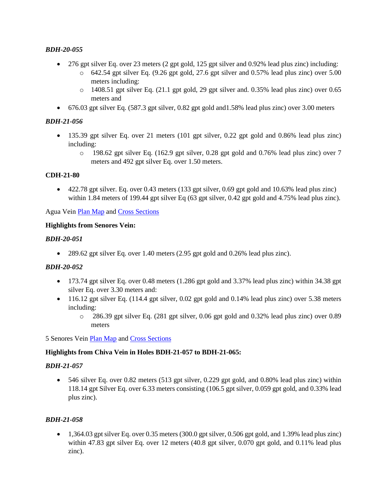## *BDH-20-055*

- 276 gpt silver Eq. over 23 meters (2 gpt gold, 125 gpt silver and 0.92% lead plus zinc) including:
	- o 642.54 gpt silver Eq. (9.26 gpt gold, 27.6 gpt silver and 0.57% lead plus zinc) over 5.00 meters including:
	- $\circ$  1408.51 gpt silver Eq. (21.1 gpt gold, 29 gpt silver and. 0.35% lead plus zinc) over 0.65 meters and
- 676.03 gpt silver Eq. (587.3 gpt silver, 0.82 gpt gold and1.58% lead plus zinc) over 3.00 meters

## *BDH-21-056*

- 135.39 gpt silver Eq. over 21 meters (101 gpt silver, 0.22 gpt gold and 0.86% lead plus zinc) including:
	- o 198.62 gpt silver Eq. (162.9 gpt silver, 0.28 gpt gold and 0.76% lead plus zinc) over 7 meters and 492 gpt silver Eq. over 1.50 meters.

#### **CDH-21-80**

• 422.78 gpt silver. Eq. over 0.43 meters (133 gpt silver, 0.69 gpt gold and 10.63% lead plus zinc) within 1.84 meters of 199.44 gpt silver Eq (63 gpt silver, 0.42 gpt gold and 4.75% lead plus zinc).

Agua Vei[n Plan Map](https://www.kootenaysilver.com/assets/img/nr/Agua-Plan-Map-Copalito-December-2021.pdf) and [Cross Sections](https://www.kootenaysilver.com/assets/img/nr/Agua-Cross-Sections-54-to-56.pdf)

#### **Highlights from Senores Vein:**

#### *BDH-20-051*

• 289.62 gpt silver Eq. over 1.40 meters (2.95 gpt gold and 0.26% lead plus zinc).

#### *BDH-20-052*

- 173.74 gpt silver Eq. over 0.48 meters (1.286 gpt gold and 3.37% lead plus zinc) within 34.38 gpt silver Eq. over 3.30 meters and:
- $\bullet$  116.12 gpt silver Eq. (114.4 gpt silver, 0.02 gpt gold and 0.14% lead plus zinc) over 5.38 meters including:
	- o 286.39 gpt silver Eq. (281 gpt silver, 0.06 gpt gold and 0.32% lead plus zinc) over 0.89 meters

5 Senores Vein [Plan Map](https://www.kootenaysilver.com/assets/img/nr/5-Senores-Plan-Map-Copaltio-Dec-2021.pdf) and [Cross Sections](https://www.kootenaysilver.com/assets/img/nr/5-Senores-Cross-Sections-48-to-50.pdf)

#### **Highlights from Chiva Vein in Holes BDH-21-057 to BDH-21-065:**

#### *BDH-21-057*

• 546 silver Eq. over 0.82 meters (513 gpt silver, 0.229 gpt gold, and 0.80% lead plus zinc) within 118.14 gpt Silver Eq. over 6.33 meters consisting (106.5 gpt silver, 0.059 gpt gold, and 0.33% lead plus zinc).

#### *BDH-21-058*

 $\bullet$  1,364.03 gpt silver Eq. over 0.35 meters (300.0 gpt silver, 0.506 gpt gold, and 1.39% lead plus zinc) within 47.83 gpt silver Eq. over 12 meters (40.8 gpt silver, 0.070 gpt gold, and 0.11% lead plus zinc).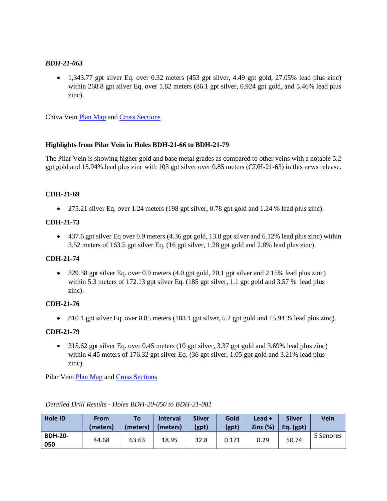#### *BDH-21-063*

• 1,343.77 gpt silver Eq. over 0.32 meters (453 gpt silver, 4.49 gpt gold, 27.05% lead plus zinc) within 268.8 gpt silver Eq. over 1.82 meters (86.1 gpt silver, 0.924 gpt gold, and 5.46% lead plus zinc).

Chiva Vein [Plan Map](https://www.kootenaysilver.com/assets/img/nr/Chiva-Vein-Plan-Map-December-2021.pdf) and [Cross Sections](https://www.kootenaysilver.com/assets/img/nr/Chiva-Vein-cross-Sections-Holes-57-60-63.pdf)

## **Highlights from Pilar Vein in Holes BDH-21-66 to BDH-21-79**

The Pilar Vein is showing higher gold and base metal grades as compared to other veins with a notable 5.2 gpt gold and 15.94% lead plus zinc with 103 gpt silver over 0.85 meters (CDH-21-63) in this news release.

## **CDH-21-69**

• 275.21 silver Eq. over 1.24 meters (198 gpt silver, 0.78 gpt gold and 1.24 % lead plus zinc).

## **CDH-21-73**

• 437.6 gpt silver Eq over 0.9 meters (4.36 gpt gold, 13.8 gpt silver and 6.12% lead plus zinc) within 3.52 meters of 163.5 gpt silver Eq. (16 gpt silver, 1.28 gpt gold and 2.8% lead plus zinc).

## **CDH-21-74**

• 329.38 gpt silver Eq. over 0.9 meters (4.0 gpt gold, 20.1 gpt silver and 2.15% lead plus zinc) within 5.3 meters of 172.13 gpt silver Eq. (185 gpt silver, 1.1 gpt gold and 3.57 % lead plus zinc).

## **CDH-21-76**

• 810.1 gpt silver Eq. over 0.85 meters (103.1 gpt silver, 5.2 gpt gold and 15.94 % lead plus zinc).

## **CDH-21-79**

• 315.62 gpt silver Eq. over 0.45 meters (10 gpt silver, 3.37 gpt gold and 3.69% lead plus zinc) within 4.45 meters of 176.32 gpt silver Eq. (36 gpt silver, 1.05 gpt gold and 3.21% lead plus zinc).

Pilar Vei[n Plan Map](https://www.kootenaysilver.com/assets/img/nr/Pilar-Plan-Map-Copalito-December-2021.pdf) and [Cross Sections](https://www.kootenaysilver.com/assets/img/nr/Pilar-Cross-Sections-Holes-68-69-74-75.pdf)

| <b>Hole ID</b>        | <b>From</b><br>(meters) | To<br>(meters) | <b>Interval</b><br>(meters) | <b>Silver</b><br>(gpt) | Gold<br>(gpt) | Lead +<br>Zinc(%) | <b>Silver</b><br>Eq. $(gpt)$ | Vein      |
|-----------------------|-------------------------|----------------|-----------------------------|------------------------|---------------|-------------------|------------------------------|-----------|
| <b>BDH-20-</b><br>050 | 44.68                   | 63.63          | 18.95                       | 32.8                   | 0.171         | 0.29              | 50.74                        | 5 Senores |

## *Detailed Drill Results - Holes BDH-20-050 to BDH-21-081*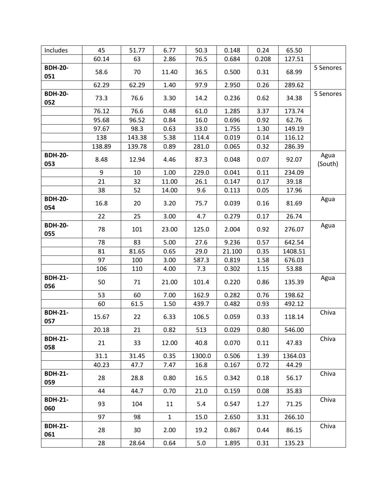| Includes              | 45     | 51.77  | 6.77         | 50.3   | 0.148  | 0.24  | 65.50   |                 |
|-----------------------|--------|--------|--------------|--------|--------|-------|---------|-----------------|
|                       | 60.14  | 63     | 2.86         | 76.5   | 0.684  | 0.208 | 127.51  |                 |
| <b>BDH-20-</b><br>051 | 58.6   | 70     | 11.40        | 36.5   | 0.500  | 0.31  | 68.99   | 5 Senores       |
|                       | 62.29  | 62.29  | 1.40         | 97.9   | 2.950  | 0.26  | 289.62  |                 |
| <b>BDH-20-</b><br>052 | 73.3   | 76.6   | 3.30         | 14.2   | 0.236  | 0.62  | 34.38   | 5 Senores       |
|                       | 76.12  | 76.6   | 0.48         | 61.0   | 1.285  | 3.37  | 173.74  |                 |
|                       | 95.68  | 96.52  | 0.84         | 16.0   | 0.696  | 0.92  | 62.76   |                 |
|                       | 97.67  | 98.3   | 0.63         | 33.0   | 1.755  | 1.30  | 149.19  |                 |
|                       | 138    | 143.38 | 5.38         | 114.4  | 0.019  | 0.14  | 116.12  |                 |
|                       | 138.89 | 139.78 | 0.89         | 281.0  | 0.065  | 0.32  | 286.39  |                 |
| <b>BDH-20-</b><br>053 | 8.48   | 12.94  | 4.46         | 87.3   | 0.048  | 0.07  | 92.07   | Agua<br>(South) |
|                       | 9      | 10     | 1.00         | 229.0  | 0.041  | 0.11  | 234.09  |                 |
|                       | 21     | 32     | 11.00        | 26.1   | 0.147  | 0.17  | 39.18   |                 |
|                       | 38     | 52     | 14.00        | 9.6    | 0.113  | 0.05  | 17.96   |                 |
| <b>BDH-20-</b><br>054 | 16.8   | 20     | 3.20         | 75.7   | 0.039  | 0.16  | 81.69   | Agua            |
|                       | 22     | 25     | 3.00         | 4.7    | 0.279  | 0.17  | 26.74   |                 |
| <b>BDH-20-</b><br>055 | 78     | 101    | 23.00        | 125.0  | 2.004  | 0.92  | 276.07  | Agua            |
|                       | 78     | 83     | 5.00         | 27.6   | 9.236  | 0.57  | 642.54  |                 |
|                       | 81     | 81.65  | 0.65         | 29.0   | 21.100 | 0.35  | 1408.51 |                 |
|                       | 97     | 100    | 3.00         | 587.3  | 0.819  | 1.58  | 676.03  |                 |
|                       | 106    | 110    | 4.00         | 7.3    | 0.302  | 1.15  | 53.88   |                 |
| <b>BDH-21-</b><br>056 | 50     | 71     | 21.00        | 101.4  | 0.220  | 0.86  | 135.39  | Agua            |
|                       | 53     | 60     | 7.00         | 162.9  | 0.282  | 0.76  | 198.62  |                 |
|                       | 60     | 61.5   | 1.50         | 439.7  | 0.482  | 0.93  | 492.12  |                 |
| <b>BDH-21-</b><br>057 | 15.67  | 22     | 6.33         | 106.5  | 0.059  | 0.33  | 118.14  | Chiva           |
|                       | 20.18  | 21     | 0.82         | 513    | 0.029  | 0.80  | 546.00  |                 |
| <b>BDH-21-</b><br>058 | 21     | 33     | 12.00        | 40.8   | 0.070  | 0.11  | 47.83   | Chiva           |
|                       | 31.1   | 31.45  | 0.35         | 1300.0 | 0.506  | 1.39  | 1364.03 |                 |
|                       | 40.23  | 47.7   | 7.47         | 16.8   | 0.167  | 0.72  | 44.29   |                 |
| <b>BDH-21-</b><br>059 | 28     | 28.8   | 0.80         | 16.5   | 0.342  | 0.18  | 56.17   | Chiva           |
|                       | 44     | 44.7   | 0.70         | 21.0   | 0.159  | 0.08  | 35.83   |                 |
| <b>BDH-21-</b><br>060 | 93     | 104    | 11           | 5.4    | 0.547  | 1.27  | 71.25   | Chiva           |
|                       | 97     | 98     | $\mathbf{1}$ | 15.0   | 2.650  | 3.31  | 266.10  |                 |
| <b>BDH-21-</b><br>061 | 28     | 30     | 2.00         | 19.2   | 0.867  | 0.44  | 86.15   | Chiva           |
|                       | 28     | 28.64  | 0.64         | 5.0    | 1.895  | 0.31  | 135.23  |                 |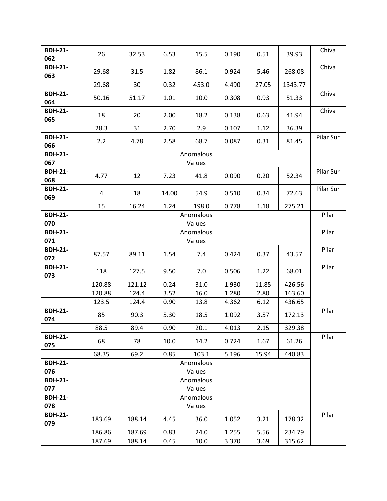| <b>BDH-21-</b><br>062 | 26                  | 32.53  | 6.53  | 15.5                | 0.190 | 0.51  | 39.93   | Chiva     |  |
|-----------------------|---------------------|--------|-------|---------------------|-------|-------|---------|-----------|--|
| <b>BDH-21-</b>        | 29.68               | 31.5   | 1.82  | 86.1                | 0.924 | 5.46  | 268.08  | Chiva     |  |
| 063                   | 29.68               | 30     | 0.32  | 453.0               | 4.490 | 27.05 | 1343.77 |           |  |
| <b>BDH-21-</b>        |                     |        |       |                     |       |       |         | Chiva     |  |
| 064                   | 50.16               | 51.17  | 1.01  | 10.0                | 0.308 | 0.93  | 51.33   |           |  |
| <b>BDH-21-</b><br>065 | 18                  | 20     | 2.00  | 18.2                | 0.138 | 0.63  | 41.94   | Chiva     |  |
|                       | 28.3                | 31     | 2.70  | 2.9                 | 0.107 | 1.12  | 36.39   |           |  |
| <b>BDH-21-</b>        | 2.2                 | 4.78   | 2.58  | 68.7                | 0.087 | 0.31  | 81.45   | Pilar Sur |  |
| 066                   |                     |        |       |                     |       |       |         |           |  |
| <b>BDH-21-</b><br>067 |                     |        |       | Anomalous<br>Values |       |       |         |           |  |
| <b>BDH-21-</b><br>068 | 4.77                | 12     | 7.23  | 41.8                | 0.090 | 0.20  | 52.34   | Pilar Sur |  |
| <b>BDH-21-</b><br>069 | 4                   | 18     | 14.00 | 54.9                | 0.510 | 0.34  | 72.63   | Pilar Sur |  |
|                       | 15                  | 16.24  | 1.24  | 198.0               | 0.778 | 1.18  | 275.21  |           |  |
| <b>BDH-21-</b>        | Anomalous           |        |       |                     |       |       |         |           |  |
| 070                   | Values              |        |       |                     |       |       |         |           |  |
| <b>BDH-21-</b>        | Anomalous           |        |       |                     |       |       |         |           |  |
| 071                   |                     |        |       | Values              |       |       |         |           |  |
| <b>BDH-21-</b><br>072 | 87.57               | 89.11  | 1.54  | 7.4                 | 0.424 | 0.37  | 43.57   | Pilar     |  |
| <b>BDH-21-</b><br>073 | 118                 | 127.5  | 9.50  | 7.0                 | 0.506 | 1.22  | 68.01   | Pilar     |  |
|                       | 120.88              | 121.12 | 0.24  | 31.0                | 1.930 | 11.85 | 426.56  |           |  |
|                       | 120.88              | 124.4  | 3.52  | 16.0                | 1.280 | 2.80  | 163.60  |           |  |
|                       | 123.5               | 124.4  | 0.90  | 13.8                | 4.362 | 6.12  | 436.65  |           |  |
| <b>BDH-21-</b><br>074 | 85                  | 90.3   | 5.30  | 18.5                | 1.092 | 3.57  | 172.13  | Pilar     |  |
|                       | 88.5                | 89.4   | 0.90  | 20.1                | 4.013 | 2.15  | 329.38  |           |  |
| <b>BDH-21-</b><br>075 | 68                  | 78     | 10.0  | 14.2                | 0.724 | 1.67  | 61.26   | Pilar     |  |
|                       | 68.35               | 69.2   | 0.85  | 103.1               | 5.196 | 15.94 | 440.83  |           |  |
| <b>BDH-21-</b><br>076 | Anomalous<br>Values |        |       |                     |       |       |         |           |  |
| <b>BDH-21-</b>        | Anomalous           |        |       |                     |       |       |         |           |  |
| 077                   | Values              |        |       |                     |       |       |         |           |  |
| <b>BDH-21-</b>        | Anomalous           |        |       |                     |       |       |         |           |  |
| 078                   |                     |        |       | Values              |       |       |         |           |  |
| <b>BDH-21-</b><br>079 | 183.69              | 188.14 | 4.45  | 36.0                | 1.052 | 3.21  | 178.32  | Pilar     |  |
|                       | 186.86              | 187.69 | 0.83  | 24.0                | 1.255 | 5.56  | 234.79  |           |  |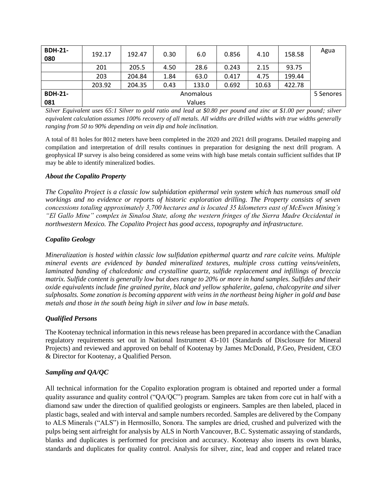| <b>BDH-21-</b><br>080 | 192.17    | 192.47 | 0.30 | 6.0   | 0.856 | 4.10  | 158.58 | Agua |
|-----------------------|-----------|--------|------|-------|-------|-------|--------|------|
|                       | 201       | 205.5  | 4.50 | 28.6  | 0.243 | 2.15  | 93.75  |      |
|                       | 203       | 204.84 | 1.84 | 63.0  | 0.417 | 4.75  | 199.44 |      |
|                       | 203.92    | 204.35 | 0.43 | 133.0 | 0.692 | 10.63 | 422.78 |      |
| <b>BDH-21-</b>        | Anomalous |        |      |       |       |       |        |      |
| 081                   | Values    |        |      |       |       |       |        |      |

*Silver Equivalent uses 65:1 Silver to gold ratio and lead at \$0.80 per pound and zinc at \$1.00 per pound; silver equivalent calculation assumes 100% recovery of all metals. All widths are drilled widths with true widths generally ranging from 50 to 90% depending on vein dip and hole inclination.*

A total of 81 holes for 8012 meters have been completed in the 2020 and 2021 drill programs. Detailed mapping and compilation and interpretation of drill results continues in preparation for designing the next drill program. A geophysical IP survey is also being considered as some veins with high base metals contain sufficient sulfides that IP may be able to identify mineralized bodies.

## *About the Copalito Property*

*The Copalito Project is a classic low sulphidation epithermal vein system which has numerous small old workings and no evidence or reports of historic exploration drilling. The Property consists of seven concessions totaling approximately 3,700 hectares and is located 35 kilometers east of McEwen Mining's "El Gallo Mine" complex in Sinaloa State, along the western fringes of the Sierra Madre Occidental in northwestern Mexico. The Copalito Project has good access, topography and infrastructure.*

## *Copalito Geology*

*Mineralization is hosted within classic low sulfidation epithermal quartz and rare calcite veins. Multiple mineral events are evidenced by banded mineralized textures, multiple cross cutting veins/veinlets, laminated banding of chalcedonic and crystalline quartz, sulfide replacement and infillings of breccia matrix. Sulfide content is generally low but does range to 20% or more in hand samples. Sulfides and their oxide equivalents include fine grained pyrite, black and yellow sphalerite, galena, chalcopyrite and silver sulphosalts. Some zonation is becoming apparent with veins in the northeast being higher in gold and base metals and those in the south being high in silver and low in base metals.*

## *Qualified Persons*

The Kootenay technical information in this news release has been prepared in accordance with the Canadian regulatory requirements set out in National Instrument 43-101 (Standards of Disclosure for Mineral Projects) and reviewed and approved on behalf of Kootenay by James McDonald, P.Geo, President, CEO & Director for Kootenay, a Qualified Person.

## *Sampling and QA/QC*

All technical information for the Copalito exploration program is obtained and reported under a formal quality assurance and quality control ("QA/QC") program. Samples are taken from core cut in half with a diamond saw under the direction of qualified geologists or engineers. Samples are then labeled, placed in plastic bags, sealed and with interval and sample numbers recorded. Samples are delivered by the Company to ALS Minerals ("ALS") in Hermosillo, Sonora. The samples are dried, crushed and pulverized with the pulps being sent airfreight for analysis by ALS in North Vancouver, B.C. Systematic assaying of standards, blanks and duplicates is performed for precision and accuracy. Kootenay also inserts its own blanks, standards and duplicates for quality control. Analysis for silver, zinc, lead and copper and related trace